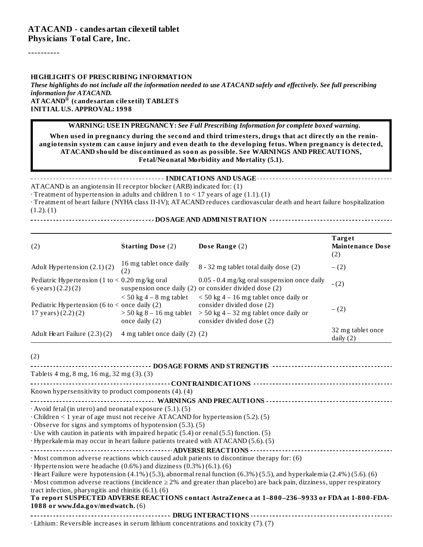#### **ATACAND - candesartan cilexetil tablet Physicians Total Care, Inc.**

----------

#### **HIGHLIGHTS OF PRESCRIBING INFORMATION**

These highlights do not include all the information needed to use ATACAND safely and effectively. See full prescribing *information for ATACAND.* **ATACAND (candesartan cilexetil) TABLETS ®INITIAL U.S. APPROVAL: 1998**

**WARNING: USE IN PREGNANCY:** *See Full Prescribing Information for complete boxed warning.*

**When used in pregnancy during the second and third trimesters, drugs that act directly on the reninangiotensin system can cause injury and even death to the developing fetus. When pregnancy is detected, ATACAND should be discontinued as soon as possible. See WARNINGS AND PRECAUTIONS, Fetal/Neonatal Morbidity and Mortality (5.1).**

**INDICATIONS AND USAGE** ATACAND is an angiotensin II receptor blocker (ARB) indicated for: (1)

 $\cdot$  Treatment of hypertension in adults and children 1 to < 17 years of age (1.1). (1)

· Treatment of heart failure (NYHA class II-IV); ATACAND reduces cardiovascular death and heart failure hospitalization  $(1.2)$ .  $(1)$ 

**DOSAGE AND ADMINISTRATION**

| (2)                                                                             | <b>Starting Dose (2)</b>                                                  | Dose Range (2)                                                                                                                                 | Target<br><b>Maintenance Dose</b><br>(2) |
|---------------------------------------------------------------------------------|---------------------------------------------------------------------------|------------------------------------------------------------------------------------------------------------------------------------------------|------------------------------------------|
| Adult Hypertension (2.1)(2)                                                     | 16 mg tablet once daily<br>(2)                                            | 8 - 32 mg tablet total daily dose (2)                                                                                                          | $- (2)$                                  |
| Pediatric Hypertension (1 to $<$ 0.20 mg/kg oral<br>6 years) $(2.2)(2)$         |                                                                           | 0.05 - 0.4 mg/kg oral suspension once daily<br>suspension once daily (2) or consider divided dose (2)                                          | $-(2)$                                   |
| Pediatric Hypertension (6 to $\leq$ once daily (2)<br>$17$ years) $(2.2)$ $(2)$ | $<$ 50 kg 4 – 8 mg tablet<br>$>$ 50 kg 8 – 16 mg tablet<br>once daily (2) | $<$ 50 kg 4 – 16 mg tablet once daily or<br>consider divided dose (2)<br>$>$ 50 kg 4 – 32 mg tablet once daily or<br>consider divided dose (2) | $-(2)$                                   |
| Adult Heart Failure (2.3)(2)                                                    | 4 mg tablet once daily (2) (2)                                            |                                                                                                                                                | 32 mg tablet once<br>daily $(2)$         |

(2)

| Tablets 4 mg, 8 mg, 16 mg, 32 mg (3). (3)                                                                                        |
|----------------------------------------------------------------------------------------------------------------------------------|
|                                                                                                                                  |
| Known hypersensitivity to product components (4). (4)                                                                            |
|                                                                                                                                  |
| $\cdot$ Avoid fetal (in utero) and neonatal exposure (5.1). (5)                                                                  |
| $\cdot$ Children < 1 year of age must not receive ATACAND for hypertension (5.2). (5)                                            |
| $\cdot$ Observe for signs and symptoms of hypotension (5.3). (5)                                                                 |
| $\cdot$ Use with caution in patients with impaired hepatic (5.4) or renal (5.5) function. (5)                                    |
| · Hyperkalemia may occur in heart failure patients treated with ATACAND (5.6). (5)                                               |
|                                                                                                                                  |
| $\cdot$ Most common adverse reactions which caused adult patients to discontinue therapy for: (6)                                |
| $\cdot$ Hypertension were headache (0.6%) and dizziness (0.3%) (6.1). (6)                                                        |
| Heart Failure were hypotension (4.1%) (5.3), abnormal renal function (6.3%) (5.5), and hyperkalemia (2.4%) (5.6). (6)            |
| $\cdot$ Most common adverse reactions (incidence $\geq$ 2% and greater than placebo) are back pain, dizziness, upper respiratory |
| tract infection, pharyngitis and rhinitis $(6.1)$ . $(6)$                                                                        |
| To report SUSPECTED ADVERSE REACTIONS contact AstraZeneca at 1-800-236-9933 or FDA at 1-800-FDA-                                 |
| 1088 or www.fda.gov/medwatch. (6)                                                                                                |
|                                                                                                                                  |
| $\cdot$ Lithium: Reversible increases in serum lithium concentrations and toxicity (7). (7)                                      |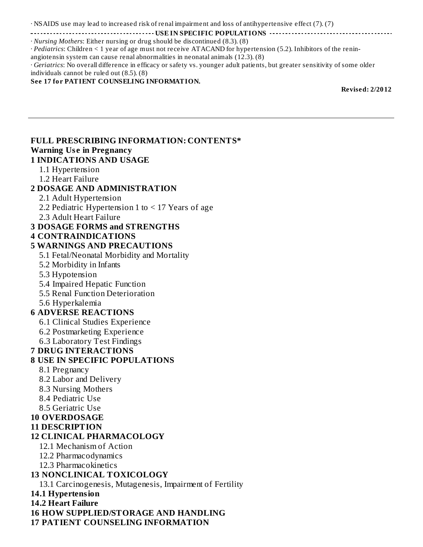· NSAIDS use may lead to increased risk of renal impairment and loss of antihypertensive effect (7). (7)

**USE IN SPECIFIC POPULATIONS**

· *Nursing Mothers*: Either nursing or drug should be discontinued (8.3). (8) · *Pediatrics*: Children < 1 year of age must not receive ATACAND for hypertension (5.2). Inhibitors of the renin-

angiotensin system can cause renal abnormalities in neonatal animals (12.3). (8)

· *Geriatrics*: No overall difference in efficacy or safety vs. younger adult patients, but greater sensitivity of some older individuals cannot be ruled out (8.5). (8)

#### **See 17 for PATIENT COUNSELING INFORMATION.**

**Revised: 2/2012**

#### **FULL PRESCRIBING INFORMATION: CONTENTS\* Warning Us e in Pregnancy 1 INDICATIONS AND USAGE** 1.1 Hypertension 1.2 Heart Failure **2 DOSAGE AND ADMINISTRATION** 2.1 Adult Hypertension 2.2 Pediatric Hypertension 1 to < 17 Years of age 2.3 Adult Heart Failure **3 DOSAGE FORMS and STRENGTHS 4 CONTRAINDICATIONS 5 WARNINGS AND PRECAUTIONS** 5.1 Fetal/Neonatal Morbidity and Mortality 5.2 Morbidity in Infants 5.3 Hypotension 5.4 Impaired Hepatic Function 5.5 Renal Function Deterioration 5.6 Hyperkalemia **6 ADVERSE REACTIONS** 6.1 Clinical Studies Experience 6.2 Postmarketing Experience 6.3 Laboratory Test Findings **7 DRUG INTERACTIONS 8 USE IN SPECIFIC POPULATIONS** 8.1 Pregnancy 8.2 Labor and Delivery 8.3 Nursing Mothers 8.4 Pediatric Use 8.5 Geriatric Use **10 OVERDOSAGE 11 DESCRIPTION 12 CLINICAL PHARMACOLOGY** 12.1 Mechanism of Action 12.2 Pharmacodynamics 12.3 Pharmacokinetics **13 NONCLINICAL TOXICOLOGY** 13.1 Carcinogenesis, Mutagenesis, Impairment of Fertility **14.1 Hypertension 14.2 Heart Failure 16 HOW SUPPLIED/STORAGE AND HANDLING 17 PATIENT COUNSELING INFORMATION**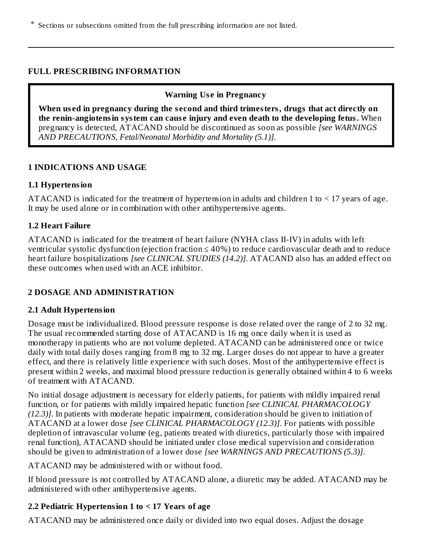\* Sections or subsections omitted from the full prescribing information are not listed.

#### **FULL PRESCRIBING INFORMATION**

#### **Warning Us e in Pregnancy**

**When us ed in pregnancy during the s econd and third trimesters, drugs that act directly on the renin-angiotensin system can caus e injury and even death to the developing fetus.** When pregnancy is detected, ATACAND should be discontinued as soon as possible *[see WARNINGS AND PRECAUTIONS, Fetal/Neonatal Morbidity and Mortality (5.1)].*

#### **1 INDICATIONS AND USAGE**

#### **1.1 Hypertension**

ATACAND is indicated for the treatment of hypertension in adults and children 1 to  $\leq$  17 years of age. It may be used alone or in combination with other antihypertensive agents.

#### **1.2 Heart Failure**

ATACAND is indicated for the treatment of heart failure (NYHA class II-IV) in adults with left ventricular systolic dysfunction (ejection fraction ≤ 40%) to reduce cardiovascular death and to reduce heart failure hospitalizations *[see CLINICAL STUDIES (14.2)]*. ATACAND also has an added effect on these outcomes when used with an ACE inhibitor.

#### **2 DOSAGE AND ADMINISTRATION**

#### **2.1 Adult Hypertension**

Dosage must be individualized. Blood pressure response is dose related over the range of 2 to 32 mg. The usual recommended starting dose of ATACAND is 16 mg once daily when it is used as monotherapy in patients who are not volume depleted. ATACAND can be administered once or twice daily with total daily doses ranging from 8 mg to 32 mg. Larger doses do not appear to have a greater effect, and there is relatively little experience with such doses. Most of the antihypertensive effect is present within 2 weeks, and maximal blood pressure reduction is generally obtained within 4 to 6 weeks of treatment with ATACAND.

No initial dosage adjustment is necessary for elderly patients, for patients with mildly impaired renal function, or for patients with mildly impaired hepatic function *[see CLINICAL PHARMACOLOGY (12.3)]*. In patients with moderate hepatic impairment, consideration should be given to initiation of ATACAND at a lower dose *[see CLINICAL PHARMACOLOGY (12.3)]*. For patients with possible depletion of intravascular volume (eg, patients treated with diuretics, particularly those with impaired renal function), ATACAND should be initiated under close medical supervision and consideration should be given to administration of a lower dose *[see WARNINGS AND PRECAUTIONS (5.3)]*.

ATACAND may be administered with or without food.

If blood pressure is not controlled by ATACAND alone, a diuretic may be added. ATACAND may be administered with other antihypertensive agents.

## **2.2 Pediatric Hypertension 1 to < 17 Years of age**

ATACAND may be administered once daily or divided into two equal doses. Adjust the dosage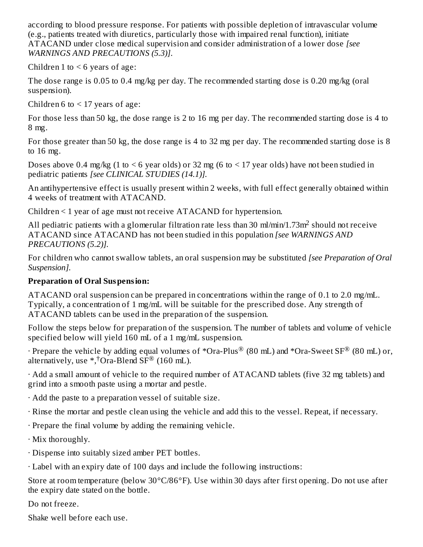according to blood pressure response. For patients with possible depletion of intravascular volume (e.g., patients treated with diuretics, particularly those with impaired renal function), initiate ATACAND under close medical supervision and consider administration of a lower dose *[see WARNINGS AND PRECAUTIONS (5.3)]*.

Children 1 to  $\leq 6$  years of age:

The dose range is 0.05 to 0.4 mg/kg per day. The recommended starting dose is 0.20 mg/kg (oral suspension).

Children 6 to  $\leq$  17 years of age:

For those less than 50 kg, the dose range is 2 to 16 mg per day. The recommended starting dose is 4 to 8 mg.

For those greater than 50 kg, the dose range is 4 to 32 mg per day. The recommended starting dose is 8 to 16 mg.

Doses above 0.4 mg/kg (1 to  $\leq 6$  year olds) or 32 mg (6 to  $\leq 17$  year olds) have not been studied in pediatric patients *[see CLINICAL STUDIES (14.1)].*

An antihypertensive effect is usually present within 2 weeks, with full effect generally obtained within 4 weeks of treatment with ATACAND.

Children < 1 year of age must not receive ATACAND for hypertension.

All pediatric patients with a glomerular filtration rate less than 30 ml/min/1.73m<sup>2</sup> should not receive ATACAND since ATACAND has not been studied in this population *[see WARNINGS AND PRECAUTIONS (5.2)].*

For children who cannot swallow tablets, an oral suspension may be substituted *[see Preparation of Oral Suspension].*

## **Preparation of Oral Suspension:**

ATACAND oral suspension can be prepared in concentrations within the range of 0.1 to 2.0 mg/mL. Typically, a concentration of 1 mg/mL will be suitable for the prescribed dose. Any strength of ATACAND tablets can be used in the preparation of the suspension.

Follow the steps below for preparation of the suspension. The number of tablets and volume of vehicle specified below will yield 160 mL of a 1 mg/mL suspension.

 $\cdot$  Prepare the vehicle by adding equal volumes of \*Ora-Plus® (80 mL) and \*Ora-Sweet SF® (80 mL) or, alternatively, use  $*,$  Ora-Blend SF® (160 mL).

· Add a small amount of vehicle to the required number of ATACAND tablets (five 32 mg tablets) and grind into a smooth paste using a mortar and pestle.

· Add the paste to a preparation vessel of suitable size.

· Rinse the mortar and pestle clean using the vehicle and add this to the vessel. Repeat, if necessary.

· Prepare the final volume by adding the remaining vehicle.

· Mix thoroughly.

· Dispense into suitably sized amber PET bottles.

· Label with an expiry date of 100 days and include the following instructions:

Store at room temperature (below 30°C/86°F). Use within 30 days after first opening. Do not use after the expiry date stated on the bottle.

Do not freeze.

Shake well before each use.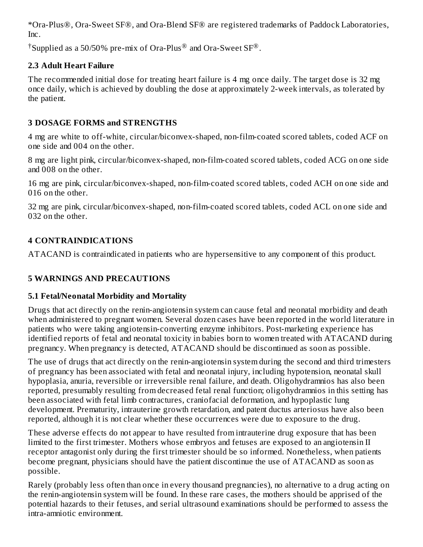\*Ora-Plus®, Ora-Sweet SF®, and Ora-Blend SF® are registered trademarks of Paddock Laboratories, Inc.

 $^\dagger$ Supplied as a 50/50% pre-mix of Ora-Plus $^\circledR$  and Ora-Sweet SF $^\circledR$ .

## **2.3 Adult Heart Failure**

The recommended initial dose for treating heart failure is 4 mg once daily. The target dose is 32 mg once daily, which is achieved by doubling the dose at approximately 2-week intervals, as tolerated by the patient.

## **3 DOSAGE FORMS and STRENGTHS**

4 mg are white to off-white, circular/biconvex-shaped, non-film-coated scored tablets, coded ACF on one side and 004 on the other.

8 mg are light pink, circular/biconvex-shaped, non-film-coated scored tablets, coded ACG on one side and 008 on the other.

16 mg are pink, circular/biconvex-shaped, non-film-coated scored tablets, coded ACH on one side and 016 on the other.

32 mg are pink, circular/biconvex-shaped, non-film-coated scored tablets, coded ACL on one side and 032 on the other.

# **4 CONTRAINDICATIONS**

ATACAND is contraindicated in patients who are hypersensitive to any component of this product.

# **5 WARNINGS AND PRECAUTIONS**

# **5.1 Fetal/Neonatal Morbidity and Mortality**

Drugs that act directly on the renin-angiotensin system can cause fetal and neonatal morbidity and death when administered to pregnant women. Several dozen cases have been reported in the world literature in patients who were taking angiotensin-converting enzyme inhibitors. Post-marketing experience has identified reports of fetal and neonatal toxicity in babies born to women treated with ATACAND during pregnancy. When pregnancy is detected, ATACAND should be discontinued as soon as possible.

The use of drugs that act directly on the renin-angiotensin system during the second and third trimesters of pregnancy has been associated with fetal and neonatal injury, including hypotension, neonatal skull hypoplasia, anuria, reversible or irreversible renal failure, and death. Oligohydramnios has also been reported, presumably resulting from decreased fetal renal function; oligohydramnios in this setting has been associated with fetal limb contractures, craniofacial deformation, and hypoplastic lung development. Prematurity, intrauterine growth retardation, and patent ductus arteriosus have also been reported, although it is not clear whether these occurrences were due to exposure to the drug.

These adverse effects do not appear to have resulted from intrauterine drug exposure that has been limited to the first trimester. Mothers whose embryos and fetuses are exposed to an angiotensin II receptor antagonist only during the first trimester should be so informed. Nonetheless, when patients become pregnant, physicians should have the patient discontinue the use of ATACAND as soon as possible.

Rarely (probably less often than once in every thousand pregnancies), no alternative to a drug acting on the renin-angiotensin system will be found. In these rare cases, the mothers should be apprised of the potential hazards to their fetuses, and serial ultrasound examinations should be performed to assess the intra-amniotic environment.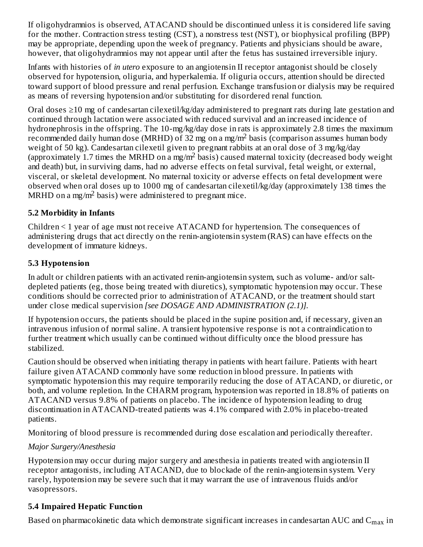If oligohydramnios is observed, ATACAND should be discontinued unless it is considered life saving for the mother. Contraction stress testing (CST), a nonstress test (NST), or biophysical profiling (BPP) may be appropriate, depending upon the week of pregnancy. Patients and physicians should be aware, however, that oligohydramnios may not appear until after the fetus has sustained irreversible injury.

Infants with histories of *in utero* exposure to an angiotensin II receptor antagonist should be closely observed for hypotension, oliguria, and hyperkalemia. If oliguria occurs, attention should be directed toward support of blood pressure and renal perfusion. Exchange transfusion or dialysis may be required as means of reversing hypotension and/or substituting for disordered renal function.

Oral doses ≥10 mg of candesartan cilexetil/kg/day administered to pregnant rats during late gestation and continued through lactation were associated with reduced survival and an increased incidence of hydronephrosis in the offspring. The 10-mg/kg/day dose in rats is approximately 2.8 times the maximum recommended daily human dose (MRHD) of 32 mg on a mg/m<sup>2</sup> basis (comparison assumes human body weight of 50 kg). Candesartan cilexetil given to pregnant rabbits at an oral dose of 3 mg/kg/day (approximately 1.7 times the MRHD on a mg/m<sup>2</sup> basis) caused maternal toxicity (decreased body weight and death) but, in surviving dams, had no adverse effects on fetal survival, fetal weight, or external, visceral, or skeletal development. No maternal toxicity or adverse effects on fetal development were observed when oral doses up to 1000 mg of candesartan cilexetil/kg/day (approximately 138 times the MRHD on a mg/m<sup>2</sup> basis) were administered to pregnant mice.

## **5.2 Morbidity in Infants**

Children < 1 year of age must not receive ATACAND for hypertension. The consequences of administering drugs that act directly on the renin-angiotensin system (RAS) can have effects on the development of immature kidneys.

# **5.3 Hypotension**

In adult or children patients with an activated renin-angiotensin system, such as volume- and/or saltdepleted patients (eg, those being treated with diuretics), symptomatic hypotension may occur. These conditions should be corrected prior to administration of ATACAND, or the treatment should start under close medical supervision *[see DOSAGE AND ADMINISTRATION (2.1)].*

If hypotension occurs, the patients should be placed in the supine position and, if necessary, given an intravenous infusion of normal saline. A transient hypotensive response is not a contraindication to further treatment which usually can be continued without difficulty once the blood pressure has stabilized.

Caution should be observed when initiating therapy in patients with heart failure. Patients with heart failure given ATACAND commonly have some reduction in blood pressure. In patients with symptomatic hypotension this may require temporarily reducing the dose of ATACAND, or diuretic, or both, and volume repletion. In the CHARM program, hypotension was reported in 18.8% of patients on ATACAND versus 9.8% of patients on placebo. The incidence of hypotension leading to drug discontinuation in ATACAND-treated patients was 4.1% compared with 2.0% in placebo-treated patients.

Monitoring of blood pressure is recommended during dose escalation and periodically thereafter.

# *Major Surgery/Anesthesia*

Hypotension may occur during major surgery and anesthesia in patients treated with angiotensin II receptor antagonists, including ATACAND, due to blockade of the renin-angiotensin system. Very rarely, hypotension may be severe such that it may warrant the use of intravenous fluids and/or vasopressors.

# **5.4 Impaired Hepatic Function**

Based on pharmacokinetic data which demonstrate significant increases in candesartan AUC and  $\mathsf{C}_{\max}$  in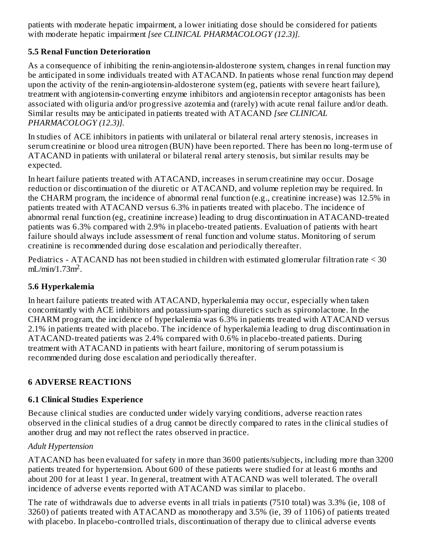patients with moderate hepatic impairment, a lower initiating dose should be considered for patients with moderate hepatic impairment *[see CLINICAL PHARMACOLOGY (12.3)].* ...<sub>...</sub>.

# **5.5 Renal Function Deterioration**

As a consequence of inhibiting the renin-angiotensin-aldosterone system, changes in renal function may be anticipated in some individuals treated with ATACAND. In patients whose renal function may depend upon the activity of the renin-angiotensin-aldosterone system (eg, patients with severe heart failure), treatment with angiotensin-converting enzyme inhibitors and angiotensin receptor antagonists has been associated with oliguria and/or progressive azotemia and (rarely) with acute renal failure and/or death. Similar results may be anticipated in patients treated with ATACAND *[see CLINICAL PHARMACOLOGY (12.3)].*

In studies of ACE inhibitors in patients with unilateral or bilateral renal artery stenosis, increases in serum creatinine or blood urea nitrogen (BUN) have been reported. There has been no long-term use of ATACAND in patients with unilateral or bilateral renal artery stenosis, but similar results may be expected.

In heart failure patients treated with ATACAND, increases in serum creatinine may occur. Dosage reduction or discontinuation of the diuretic or ATACAND, and volume repletion may be required. In the CHARM program, the incidence of abnormal renal function (e.g., creatinine increase) was 12.5% in patients treated with ATACAND versus 6.3% in patients treated with placebo. The incidence of abnormal renal function (eg, creatinine increase) leading to drug discontinuation in ATACAND-treated patients was 6.3% compared with 2.9% in placebo-treated patients. Evaluation of patients with heart failure should always include assessment of renal function and volume status. Monitoring of serum creatinine is recommended during dose escalation and periodically thereafter.

Pediatrics - ATACAND has not been studied in children with estimated glomerular filtration rate < 30  $mL/min/1.73m<sup>2</sup>$ .

# **5.6 Hyperkalemia**

In heart failure patients treated with ATACAND, hyperkalemia may occur, especially when taken concomitantly with ACE inhibitors and potassium-sparing diuretics such as spironolactone. In the CHARM program, the incidence of hyperkalemia was 6.3% in patients treated with ATACAND versus 2.1% in patients treated with placebo. The incidence of hyperkalemia leading to drug discontinuation in ATACAND-treated patients was 2.4% compared with 0.6% in placebo-treated patients. During treatment with ATACAND in patients with heart failure, monitoring of serum potassium is recommended during dose escalation and periodically thereafter.

# **6 ADVERSE REACTIONS**

# **6.1 Clinical Studies Experience**

Because clinical studies are conducted under widely varying conditions, adverse reaction rates observed in the clinical studies of a drug cannot be directly compared to rates in the clinical studies of another drug and may not reflect the rates observed in practice.

# *Adult Hypertension*

ATACAND has been evaluated for safety in more than 3600 patients/subjects, including more than 3200 patients treated for hypertension. About 600 of these patients were studied for at least 6 months and about 200 for at least 1 year. In general, treatment with ATACAND was well tolerated. The overall incidence of adverse events reported with ATACAND was similar to placebo.

The rate of withdrawals due to adverse events in all trials in patients (7510 total) was 3.3% (ie, 108 of 3260) of patients treated with ATACAND as monotherapy and 3.5% (ie, 39 of 1106) of patients treated with placebo. In placebo-controlled trials, discontinuation of therapy due to clinical adverse events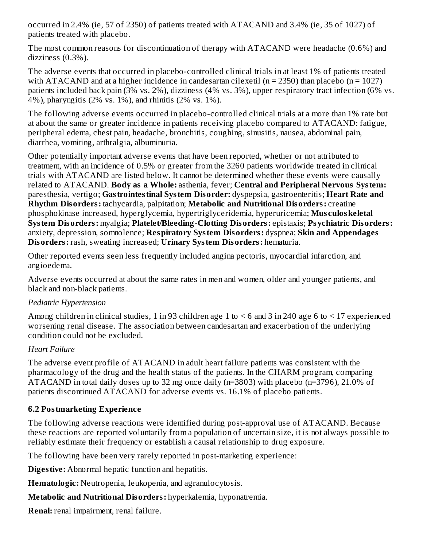occurred in 2.4% (ie, 57 of 2350) of patients treated with ATACAND and 3.4% (ie, 35 of 1027) of patients treated with placebo.

The most common reasons for discontinuation of therapy with ATACAND were headache (0.6%) and dizziness (0.3%).

The adverse events that occurred in placebo-controlled clinical trials in at least 1% of patients treated with ATACAND and at a higher incidence in candesartan cilexetil ( $n = 2350$ ) than placebo ( $n = 1027$ ) patients included back pain (3% vs. 2%), dizziness (4% vs. 3%), upper respiratory tract infection (6% vs. 4%), pharyngitis (2% vs. 1%), and rhinitis (2% vs. 1%).

The following adverse events occurred in placebo-controlled clinical trials at a more than 1% rate but at about the same or greater incidence in patients receiving placebo compared to ATACAND: fatigue, peripheral edema, chest pain, headache, bronchitis, coughing, sinusitis, nausea, abdominal pain, diarrhea, vomiting, arthralgia, albuminuria.

Other potentially important adverse events that have been reported, whether or not attributed to treatment, with an incidence of 0.5% or greater from the 3260 patients worldwide treated in clinical trials with ATACAND are listed below. It cannot be determined whether these events were causally related to ATACAND. **Body as a Whole:** asthenia, fever; **Central and Peripheral Nervous System:** paresthesia, vertigo; **Gastrointestinal System Disorder:** dyspepsia, gastroenteritis; **Heart Rate and Rhythm Disorders:** tachycardia, palpitation; **Metabolic and Nutritional Disorders:** creatine phosphokinase increased, hyperglycemia, hypertriglyceridemia, hyperuricemia; **Mus culoskeletal System Disorders:** myalgia; **Platelet/Bleeding-Clotting Disorders:** epistaxis; **Psychiatric Disorders:** anxiety, depression, somnolence; **Respiratory System Disorders:** dyspnea; **Skin and Appendages Disorders:** rash, sweating increased; **Urinary System Disorders:** hematuria.

Other reported events seen less frequently included angina pectoris, myocardial infarction, and angioedema.

Adverse events occurred at about the same rates in men and women, older and younger patients, and black and non-black patients.

#### *Pediatric Hypertension*

Among children in clinical studies, 1 in 93 children age 1 to < 6 and 3 in 240 age 6 to < 17 experienced worsening renal disease. The association between candesartan and exacerbation of the underlying condition could not be excluded.

## *Heart Failure*

The adverse event profile of ATACAND in adult heart failure patients was consistent with the pharmacology of the drug and the health status of the patients. In the CHARM program, comparing ATACAND in total daily doses up to 32 mg once daily (n=3803) with placebo (n=3796), 21.0% of patients discontinued ATACAND for adverse events vs. 16.1% of placebo patients.

## **6.2 Postmarketing Experience**

The following adverse reactions were identified during post-approval use of ATACAND. Because these reactions are reported voluntarily from a population of uncertain size, it is not always possible to reliably estimate their frequency or establish a causal relationship to drug exposure.

The following have been very rarely reported in post-marketing experience:

**Digestive:** Abnormal hepatic function and hepatitis.

**Hematologic:** Neutropenia, leukopenia, and agranulocytosis.

**Metabolic and Nutritional Disorders:** hyperkalemia, hyponatremia.

**Renal:** renal impairment, renal failure.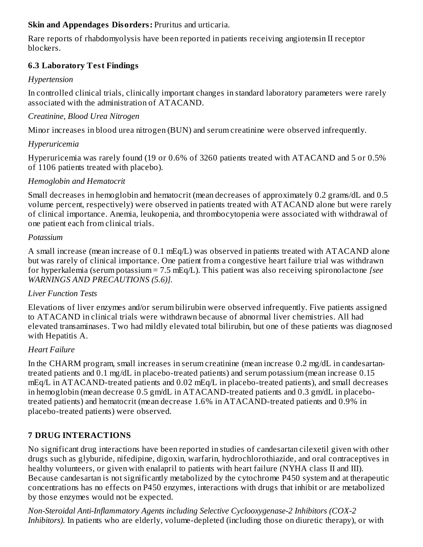### **Skin and Appendages Disorders:** Pruritus and urticaria.

Rare reports of rhabdomyolysis have been reported in patients receiving angiotensin II receptor blockers.

### **6.3 Laboratory Test Findings**

### *Hypertension*

In controlled clinical trials, clinically important changes in standard laboratory parameters were rarely associated with the administration of ATACAND.

### *Creatinine, Blood Urea Nitrogen*

Minor increases in blood urea nitrogen (BUN) and serum creatinine were observed infrequently.

### *Hyperuricemia*

Hyperuricemia was rarely found (19 or 0.6% of 3260 patients treated with ATACAND and 5 or 0.5% of 1106 patients treated with placebo).

### *Hemoglobin and Hematocrit*

Small decreases in hemoglobin and hematocrit (mean decreases of approximately 0.2 grams/dL and 0.5 volume percent, respectively) were observed in patients treated with ATACAND alone but were rarely of clinical importance. Anemia, leukopenia, and thrombocytopenia were associated with withdrawal of one patient each from clinical trials.

#### *Potassium*

A small increase (mean increase of 0.1 mEq/L) was observed in patients treated with ATACAND alone but was rarely of clinical importance. One patient from a congestive heart failure trial was withdrawn for hyperkalemia (serum potassium = 7.5 mEq/L). This patient was also receiving spironolactone *[see WARNINGS AND PRECAUTIONS (5.6)].*

## *Liver Function Tests*

Elevations of liver enzymes and/or serum bilirubin were observed infrequently. Five patients assigned to ATACAND in clinical trials were withdrawn because of abnormal liver chemistries. All had elevated transaminases. Two had mildly elevated total bilirubin, but one of these patients was diagnosed with Hepatitis A.

#### *Heart Failure*

In the CHARM program, small increases in serum creatinine (mean increase 0.2 mg/dL in candesartantreated patients and 0.1 mg/dL in placebo-treated patients) and serum potassium (mean increase 0.15 mEq/L in ATACAND-treated patients and 0.02 mEq/L in placebo-treated patients), and small decreases in hemoglobin (mean decrease 0.5 gm/dL in ATACAND-treated patients and 0.3 gm/dL in placebotreated patients) and hematocrit (mean decrease 1.6% in ATACAND-treated patients and 0.9% in placebo-treated patients) were observed.

## **7 DRUG INTERACTIONS**

No significant drug interactions have been reported in studies of candesartan cilexetil given with other drugs such as glyburide, nifedipine, digoxin, warfarin, hydrochlorothiazide, and oral contraceptives in healthy volunteers, or given with enalapril to patients with heart failure (NYHA class II and III). Because candesartan is not significantly metabolized by the cytochrome P450 system and at therapeutic concentrations has no effects on P450 enzymes, interactions with drugs that inhibit or are metabolized by those enzymes would not be expected.

*Non-Steroidal Anti-Inflammatory Agents including Selective Cyclooxygenase-2 Inhibitors (COX-2 Inhibitors).* In patients who are elderly, volume-depleted (including those on diuretic therapy), or with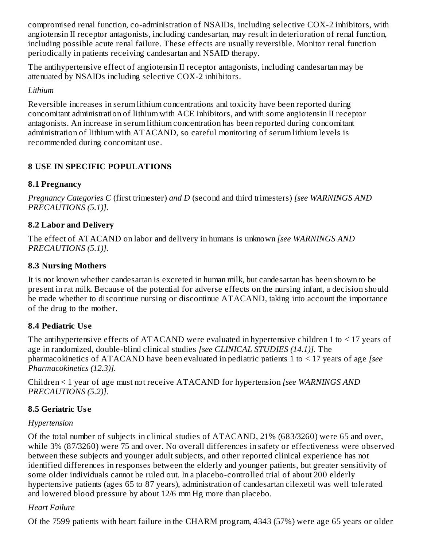compromised renal function, co-administration of NSAIDs, including selective COX-2 inhibitors, with angiotensin II receptor antagonists, including candesartan, may result in deterioration of renal function, including possible acute renal failure. These effects are usually reversible. Monitor renal function periodically in patients receiving candesartan and NSAID therapy.

The antihypertensive effect of angiotensin II receptor antagonists, including candesartan may be attenuated by NSAIDs including selective COX-2 inhibitors.

*Lithium*

Reversible increases in serum lithium concentrations and toxicity have been reported during concomitant administration of lithium with ACE inhibitors, and with some angiotensin II receptor antagonists. An increase in serum lithium concentration has been reported during concomitant administration of lithium with ATACAND, so careful monitoring of serum lithium levels is recommended during concomitant use.

# **8 USE IN SPECIFIC POPULATIONS**

## **8.1 Pregnancy**

*Pregnancy Categories C* (first trimester) *and D* (second and third trimesters) *[see WARNINGS AND PRECAUTIONS (5.1)].*

## **8.2 Labor and Delivery**

The effect of ATACAND on labor and delivery in humans is unknown *[see WARNINGS AND PRECAUTIONS (5.1)].*

## **8.3 Nursing Mothers**

It is not known whether candesartan is excreted in human milk, but candesartan has been shown to be present in rat milk. Because of the potential for adverse effects on the nursing infant, a decision should be made whether to discontinue nursing or discontinue ATACAND, taking into account the importance of the drug to the mother.

# **8.4 Pediatric Us e**

The antihypertensive effects of ATACAND were evaluated in hypertensive children 1 to < 17 years of age in randomized, double-blind clinical studies *[see CLINICAL STUDIES (14.1)].* The pharmacokinetics of ATACAND have been evaluated in pediatric patients 1 to < 17 years of age *[see Pharmacokinetics (12.3)].*

Children < 1 year of age must not receive ATACAND for hypertension *[see WARNINGS AND PRECAUTIONS (5.2)].*

# **8.5 Geriatric Us e**

## *Hypertension*

Of the total number of subjects in clinical studies of ATACAND, 21% (683/3260) were 65 and over, while 3% (87/3260) were 75 and over. No overall differences in safety or effectiveness were observed between these subjects and younger adult subjects, and other reported clinical experience has not identified differences in responses between the elderly and younger patients, but greater sensitivity of some older individuals cannot be ruled out. In a placebo-controlled trial of about 200 elderly hypertensive patients (ages 65 to 87 years), administration of candesartan cilexetil was well tolerated and lowered blood pressure by about 12/6 mm Hg more than placebo.

## *Heart Failure*

Of the 7599 patients with heart failure in the CHARM program, 4343 (57%) were age 65 years or older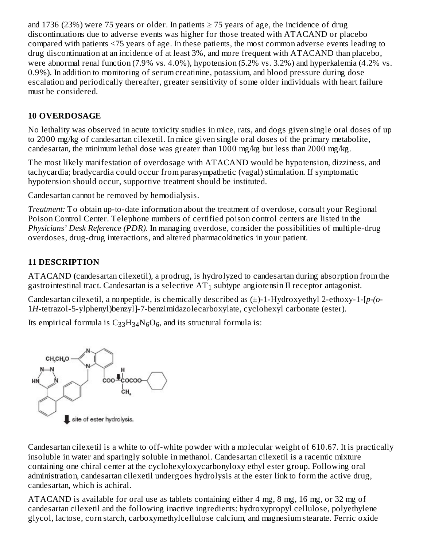and 1736 (23%) were 75 years or older. In patients  $\geq$  75 years of age, the incidence of drug discontinuations due to adverse events was higher for those treated with ATACAND or placebo compared with patients <75 years of age. In these patients, the most common adverse events leading to drug discontinuation at an incidence of at least 3%, and more frequent with ATACAND than placebo, were abnormal renal function (7.9% vs. 4.0%), hypotension (5.2% vs. 3.2%) and hyperkalemia (4.2% vs. 0.9%). In addition to monitoring of serum creatinine, potassium, and blood pressure during dose escalation and periodically thereafter, greater sensitivity of some older individuals with heart failure must be considered.

# **10 OVERDOSAGE**

No lethality was observed in acute toxicity studies in mice, rats, and dogs given single oral doses of up to 2000 mg/kg of candesartan cilexetil. In mice given single oral doses of the primary metabolite, candesartan, the minimum lethal dose was greater than 1000 mg/kg but less than 2000 mg/kg.

The most likely manifestation of overdosage with ATACAND would be hypotension, dizziness, and tachycardia; bradycardia could occur from parasympathetic (vagal) stimulation. If symptomatic hypotension should occur, supportive treatment should be instituted.

Candesartan cannot be removed by hemodialysis.

*Treatment:* To obtain up-to-date information about the treatment of overdose, consult your Regional Poison Control Center. Telephone numbers of certified poison control centers are listed in the *Physicians' Desk Reference (PDR)*. In managing overdose, consider the possibilities of multiple-drug overdoses, drug-drug interactions, and altered pharmacokinetics in your patient.

# **11 DESCRIPTION**

ATACAND (candesartan cilexetil), a prodrug, is hydrolyzed to candesartan during absorption from the gastrointestinal tract. Candesartan is a selective  $AT_1$  subtype angiotensin II receptor antagonist.

Candesartan cilexetil, a nonpeptide, is chemically described as (±)-1-Hydroxyethyl 2-ethoxy-1-[*p-(o*-1*H*-tetrazol-5-ylphenyl)benzyl]-7-benzimidazolecarboxylate, cyclohexyl carbonate (ester).

Its empirical formula is  $\rm C_{33}H_{34}N_6O_6$ , and its structural formula is:



Candesartan cilexetil is a white to off-white powder with a molecular weight of 610.67. It is practically insoluble in water and sparingly soluble in methanol. Candesartan cilexetil is a racemic mixture containing one chiral center at the cyclohexyloxycarbonyloxy ethyl ester group. Following oral administration, candesartan cilexetil undergoes hydrolysis at the ester link to form the active drug, candesartan, which is achiral.

ATACAND is available for oral use as tablets containing either 4 mg, 8 mg, 16 mg, or 32 mg of candesartan cilexetil and the following inactive ingredients: hydroxypropyl cellulose, polyethylene glycol, lactose, corn starch, carboxymethylcellulose calcium, and magnesium stearate. Ferric oxide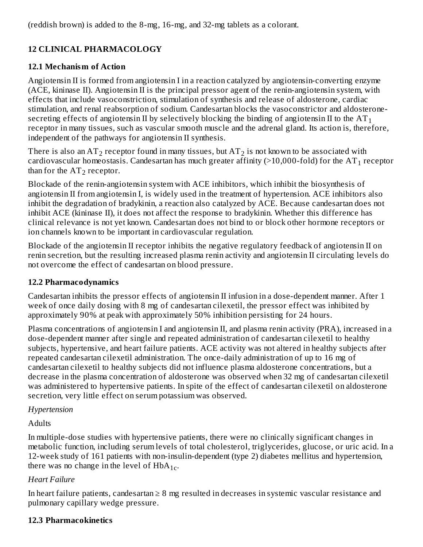(reddish brown) is added to the 8-mg, 16-mg, and 32-mg tablets as a colorant.

# **12 CLINICAL PHARMACOLOGY**

## **12.1 Mechanism of Action**

Angiotensin II is formed from angiotensin I in a reaction catalyzed by angiotensin-converting enzyme (ACE, kininase II). Angiotensin II is the principal pressor agent of the renin-angiotensin system, with effects that include vasoconstriction, stimulation of synthesis and release of aldosterone, cardiac stimulation, and renal reabsorption of sodium. Candesartan blocks the vasoconstrictor and aldosteronesecreting effects of angiotensin II by selectively blocking the binding of angiotensin II to the AT  $_{\rm 1}$ receptor in many tissues, such as vascular smooth muscle and the adrenal gland. Its action is, therefore, independent of the pathways for angiotensin II synthesis.

There is also an AT $_2$  receptor found in many tissues, but AT $_2$  is not known to be associated with cardiovascular homeostasis. Candesartan has much greater affinity (>10,000-fold) for the AT $_{\rm 1}$  receptor than for the  $AT_2$  receptor.

Blockade of the renin-angiotensin system with ACE inhibitors, which inhibit the biosynthesis of angiotensin II from angiotensin I, is widely used in the treatment of hypertension. ACE inhibitors also inhibit the degradation of bradykinin, a reaction also catalyzed by ACE. Because candesartan does not inhibit ACE (kininase II), it does not affect the response to bradykinin. Whether this difference has clinical relevance is not yet known. Candesartan does not bind to or block other hormone receptors or ion channels known to be important in cardiovascular regulation.

Blockade of the angiotensin II receptor inhibits the negative regulatory feedback of angiotensin II on renin secretion, but the resulting increased plasma renin activity and angiotensin II circulating levels do not overcome the effect of candesartan on blood pressure.

## **12.2 Pharmacodynamics**

Candesartan inhibits the pressor effects of angiotensin II infusion in a dose-dependent manner. After 1 week of once daily dosing with 8 mg of candesartan cilexetil, the pressor effect was inhibited by approximately 90% at peak with approximately 50% inhibition persisting for 24 hours.

Plasma concentrations of angiotensin I and angiotensin II, and plasma renin activity (PRA), increased in a dose-dependent manner after single and repeated administration of candesartan cilexetil to healthy subjects, hypertensive, and heart failure patients. ACE activity was not altered in healthy subjects after repeated candesartan cilexetil administration. The once-daily administration of up to 16 mg of candesartan cilexetil to healthy subjects did not influence plasma aldosterone concentrations, but a decrease in the plasma concentration of aldosterone was observed when 32 mg of candesartan cilexetil was administered to hypertensive patients. In spite of the effect of candesartan cilexetil on aldosterone secretion, very little effect on serum potassium was observed.

# *Hypertension*

**Adults** 

In multiple-dose studies with hypertensive patients, there were no clinically significant changes in metabolic function, including serum levels of total cholesterol, triglycerides, glucose, or uric acid. In a 12-week study of 161 patients with non-insulin-dependent (type 2) diabetes mellitus and hypertension, there was no change in the level of  $HbA_{1c}$ .

# *Heart Failure*

In heart failure patients, candesartan ≥ 8 mg resulted in decreases in systemic vascular resistance and pulmonary capillary wedge pressure.

# **12.3 Pharmacokinetics**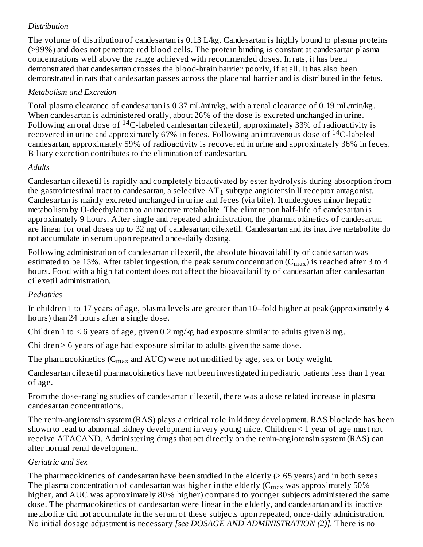### *Distribution*

The volume of distribution of candesartan is 0.13 L/kg. Candesartan is highly bound to plasma proteins (>99%) and does not penetrate red blood cells. The protein binding is constant at candesartan plasma concentrations well above the range achieved with recommended doses. In rats, it has been demonstrated that candesartan crosses the blood-brain barrier poorly, if at all. It has also been demonstrated in rats that candesartan passes across the placental barrier and is distributed in the fetus.

#### *Metabolism and Excretion*

Total plasma clearance of candesartan is 0.37 mL/min/kg, with a renal clearance of 0.19 mL/min/kg. When candesartan is administered orally, about 26% of the dose is excreted unchanged in urine. Following an oral dose of  $\rm ^{14}C$ -labeled candesartan cilexetil, approximately 33% of radioactivity is recovered in urine and approximately 67% in feces. Following an intravenous dose of  $^{14}$ C-labeled candesartan, approximately 59% of radioactivity is recovered in urine and approximately 36% in feces. Biliary excretion contributes to the elimination of candesartan.

#### *Adults*

Candesartan cilexetil is rapidly and completely bioactivated by ester hydrolysis during absorption from the gastrointestinal tract to candesartan, a selective  ${\rm AT}_1$  subtype angiotensin II receptor antagonist. Candesartan is mainly excreted unchanged in urine and feces (via bile). It undergoes minor hepatic metabolism by O-deethylation to an inactive metabolite. The elimination half-life of candesartan is approximately 9 hours. After single and repeated administration, the pharmacokinetics of candesartan are linear for oral doses up to 32 mg of candesartan cilexetil. Candesartan and its inactive metabolite do not accumulate in serum upon repeated once-daily dosing.

Following administration of candesartan cilexetil, the absolute bioavailability of candesartan was estimated to be 15%. After tablet ingestion, the peak serum concentration ( $\rm{C_{max}}$ ) is reached after 3 to 4 hours. Food with a high fat content does not affect the bioavailability of candesartan after candesartan cilexetil administration.

#### *Pediatrics*

In children 1 to 17 years of age, plasma levels are greater than 10–fold higher at peak (approximately 4 hours) than 24 hours after a single dose.

Children 1 to  $\leq 6$  years of age, given 0.2 mg/kg had exposure similar to adults given 8 mg.

Children > 6 years of age had exposure similar to adults given the same dose.

The pharmacokinetics (C $_{\rm max}$  and AUC) were not modified by age, sex or body weight.

Candesartan cilexetil pharmacokinetics have not been investigated in pediatric patients less than 1 year of age.

From the dose-ranging studies of candesartan cilexetil, there was a dose related increase in plasma candesartan concentrations.

The renin-angiotensin system (RAS) plays a critical role in kidney development. RAS blockade has been shown to lead to abnormal kidney development in very young mice. Children < 1 year of age must not receive ATACAND. Administering drugs that act directly on the renin-angiotensin system (RAS) can alter normal renal development.

#### *Geriatric and Sex*

The pharmacokinetics of candesartan have been studied in the elderly  $(≥ 65$  years) and in both sexes. The plasma concentration of candesartan was higher in the elderly ( $C_{\rm max}$  was approximately 50% higher, and AUC was approximately 80% higher) compared to younger subjects administered the same dose. The pharmacokinetics of candesartan were linear in the elderly, and candesartan and its inactive metabolite did not accumulate in the serum of these subjects upon repeated, once-daily administration. No initial dosage adjustment is necessary *[see DOSAGE AND ADMINISTRATION (2)].* There is no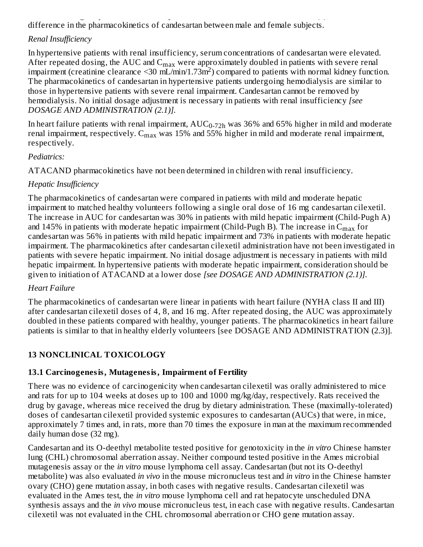No initial dosage adjustment is necessary *[see DOSAGE AND ADMINISTRATION (2)].* There is no difference in the pharmacokinetics of candesartan between male and female subjects.

# *Renal Insufficiency*

In hypertensive patients with renal insufficiency, serum concentrations of candesartan were elevated. After repeated dosing, the AUC and  $C_{\rm max}$  were approximately doubled in patients with severe renal impairment (creatinine clearance < 30 mL/min/1.73m<sup>2</sup>) compared to patients with normal kidney function. The pharmacokinetics of candesartan in hypertensive patients undergoing hemodialysis are similar to those in hypertensive patients with severe renal impairment. Candesartan cannot be removed by hemodialysis. No initial dosage adjustment is necessary in patients with renal insufficiency *[see DOSAGE AND ADMINISTRATION (2.1)].*

In heart failure patients with renal impairment,  $\text{AUC}_{0\text{-}72\text{h}}$  was 36% and 65% higher in mild and moderate renal impairment, respectively.  $\rm C_{max}$  was 15% and 55% higher in mild and moderate renal impairment, respectively.

### *Pediatrics:*

ATACAND pharmacokinetics have not been determined in children with renal insufficiency.

## *Hepatic Insufficiency*

The pharmacokinetics of candesartan were compared in patients with mild and moderate hepatic impairment to matched healthy volunteers following a single oral dose of 16 mg candesartan cilexetil. The increase in AUC for candesartan was 30% in patients with mild hepatic impairment (Child-Pugh A) and 145% in patients with moderate hepatic impairment (Child-Pugh B). The increase in  $\mathsf{C}_{\max}$  for candesartan was 56% in patients with mild hepatic impairment and 73% in patients with moderate hepatic impairment. The pharmacokinetics after candesartan cilexetil administration have not been investigated in patients with severe hepatic impairment. No initial dosage adjustment is necessary in patients with mild hepatic impairment. In hypertensive patients with moderate hepatic impairment, consideration should be given to initiation of ATACAND at a lower dose *[see DOSAGE AND ADMINISTRATION (2.1)].*

## *Heart Failure*

The pharmacokinetics of candesartan were linear in patients with heart failure (NYHA class II and III) after candesartan cilexetil doses of 4, 8, and 16 mg. After repeated dosing, the AUC was approximately doubled in these patients compared with healthy, younger patients. The pharmacokinetics in heart failure patients is similar to that in healthy elderly volunteers [see DOSAGE AND ADMINISTRATION (2.3)].

# **13 NONCLINICAL TOXICOLOGY**

## **13.1 Carcinogenesis, Mutagenesis, Impairment of Fertility**

There was no evidence of carcinogenicity when candesartan cilexetil was orally administered to mice and rats for up to 104 weeks at doses up to 100 and 1000 mg/kg/day, respectively. Rats received the drug by gavage, whereas mice received the drug by dietary administration. These (maximally-tolerated) doses of candesartan cilexetil provided systemic exposures to candesartan (AUCs) that were, in mice, approximately 7 times and, in rats, more than 70 times the exposure in man at the maximum recommended daily human dose (32 mg).

Candesartan and its O-deethyl metabolite tested positive for genotoxicity in the *in vitro* Chinese hamster lung (CHL) chromosomal aberration assay. Neither compound tested positive in the Ames microbial mutagenesis assay or the *in vitro* mouse lymphoma cell assay. Candesartan (but not its O-deethyl metabolite) was also evaluated *in vivo* in the mouse micronucleus test and *in vitro* in the Chinese hamster ovary (CHO) gene mutation assay, in both cases with negative results. Candesartan cilexetil was evaluated in the Ames test, the *in vitro* mouse lymphoma cell and rat hepatocyte unscheduled DNA synthesis assays and the *in vivo* mouse micronucleus test, in each case with negative results. Candesartan cilexetil was not evaluated in the CHL chromosomal aberration or CHO gene mutation assay.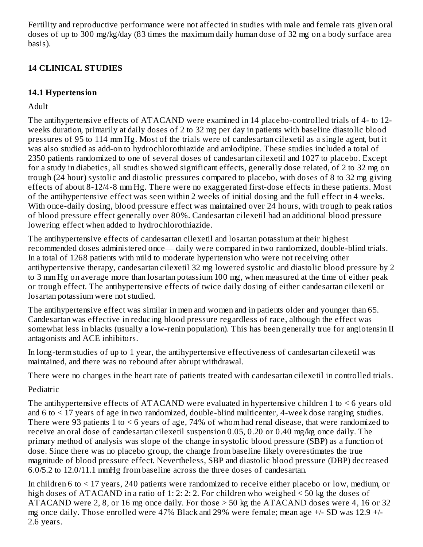Fertility and reproductive performance were not affected in studies with male and female rats given oral doses of up to 300 mg/kg/day (83 times the maximum daily human dose of 32 mg on a body surface area basis).

# **14 CLINICAL STUDIES**

# **14.1 Hypertension**

Adult

The antihypertensive effects of ATACAND were examined in 14 placebo-controlled trials of 4- to 12 weeks duration, primarily at daily doses of 2 to 32 mg per day in patients with baseline diastolic blood pressures of 95 to 114 mm Hg. Most of the trials were of candesartan cilexetil as a single agent, but it was also studied as add-on to hydrochlorothiazide and amlodipine. These studies included a total of 2350 patients randomized to one of several doses of candesartan cilexetil and 1027 to placebo. Except for a study in diabetics, all studies showed significant effects, generally dose related, of 2 to 32 mg on trough (24 hour) systolic and diastolic pressures compared to placebo, with doses of 8 to 32 mg giving effects of about 8-12/4-8 mm Hg. There were no exaggerated first-dose effects in these patients. Most of the antihypertensive effect was seen within 2 weeks of initial dosing and the full effect in 4 weeks. With once-daily dosing, blood pressure effect was maintained over 24 hours, with trough to peak ratios of blood pressure effect generally over 80%. Candesartan cilexetil had an additional blood pressure lowering effect when added to hydrochlorothiazide.

The antihypertensive effects of candesartan cilexetil and losartan potassium at their highest recommended doses administered once— daily were compared in two randomized, double-blind trials. In a total of 1268 patients with mild to moderate hypertension who were not receiving other antihypertensive therapy, candesartan cilexetil 32 mg lowered systolic and diastolic blood pressure by 2 to 3 mm Hg on average more than losartan potassium 100 mg, when measured at the time of either peak or trough effect. The antihypertensive effects of twice daily dosing of either candesartan cilexetil or losartan potassium were not studied.

The antihypertensive effect was similar in men and women and in patients older and younger than 65. Candesartan was effective in reducing blood pressure regardless of race, although the effect was somewhat less in blacks (usually a low-renin population). This has been generally true for angiotensin II antagonists and ACE inhibitors.

In long-term studies of up to 1 year, the antihypertensive effectiveness of candesartan cilexetil was maintained, and there was no rebound after abrupt withdrawal.

There were no changes in the heart rate of patients treated with candesartan cilexetil in controlled trials.

# Pediatric

The antihypertensive effects of ATACAND were evaluated in hypertensive children 1 to < 6 years old and 6 to < 17 years of age in two randomized, double-blind multicenter, 4-week dose ranging studies. There were 93 patients 1 to < 6 years of age, 74% of whom had renal disease, that were randomized to receive an oral dose of candesartan cilexetil suspension 0.05, 0.20 or 0.40 mg/kg once daily. The primary method of analysis was slope of the change in systolic blood pressure (SBP) as a function of dose. Since there was no placebo group, the change from baseline likely overestimates the true magnitude of blood pressure effect. Nevertheless, SBP and diastolic blood pressure (DBP) decreased 6.0/5.2 to 12.0/11.1 mmHg from baseline across the three doses of candesartan.

In children 6 to < 17 years, 240 patients were randomized to receive either placebo or low, medium, or high doses of ATACAND in a ratio of 1: 2: 2: 2. For children who weighed < 50 kg the doses of ATACAND were 2, 8, or 16 mg once daily. For those > 50 kg the ATACAND doses were 4, 16 or 32 mg once daily. Those enrolled were 47% Black and 29% were female; mean age +/- SD was 12.9 +/- 2.6 years.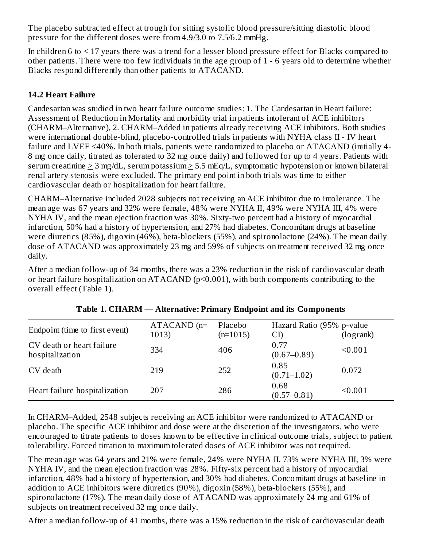The placebo subtracted effect at trough for sitting systolic blood pressure/sitting diastolic blood pressure for the different doses were from 4.9/3.0 to 7.5/6.2 mmHg.

In children 6 to < 17 years there was a trend for a lesser blood pressure effect for Blacks compared to other patients. There were too few individuals in the age group of 1 - 6 years old to determine whether Blacks respond differently than other patients to ATACAND.

## **14.2 Heart Failure**

Candesartan was studied in two heart failure outcome studies: 1. The Candesartan in Heart failure: Assessment of Reduction in Mortality and morbidity trial in patients intolerant of ACE inhibitors (CHARM–Alternative), 2. CHARM–Added in patients already receiving ACE inhibitors. Both studies were international double-blind, placebo-controlled trials in patients with NYHA class II - IV heart failure and LVEF ≤40%. In both trials, patients were randomized to placebo or ATACAND (initially 4- 8 mg once daily, titrated as tolerated to 32 mg once daily) and followed for up to 4 years. Patients with serum creatinine  $> 3$  mg/dL, serum potassium  $> 5.5$  mEq/L, symptomatic hypotension or known bilateral renal artery stenosis were excluded. The primary end point in both trials was time to either cardiovascular death or hospitalization for heart failure.

CHARM–Alternative included 2028 subjects not receiving an ACE inhibitor due to intolerance. The mean age was 67 years and 32% were female, 48% were NYHA II, 49% were NYHA III, 4% were NYHA IV, and the mean ejection fraction was 30%. Sixty-two percent had a history of myocardial infarction, 50% had a history of hypertension, and 27% had diabetes. Concomitant drugs at baseline were diuretics (85%), digoxin (46%), beta-blockers (55%), and spironolactone (24%). The mean daily dose of ATACAND was approximately 23 mg and 59% of subjects on treatment received 32 mg once daily.

After a median follow-up of 34 months, there was a 23% reduction in the risk of cardiovascular death or heart failure hospitalization on ATACAND (p<0.001), with both components contributing to the overall effect (Table 1).

|                                              | $ATACAND$ (n= | Placebo    | Hazard Ratio (95% p-value |           |
|----------------------------------------------|---------------|------------|---------------------------|-----------|
| Endpoint (time to first event)               | 1013)         | $(n=1015)$ | CI)                       | (logrank) |
| CV death or heart failure<br>hospitalization | 334           | 406        | 0.77<br>$(0.67 - 0.89)$   | < 0.001   |
| CV death                                     | 219           | 252        | 0.85<br>$(0.71 - 1.02)$   | 0.072     |
| Heart failure hospitalization                | 207           | 286        | 0.68<br>$(0.57 - 0.81)$   | < 0.001   |

**Table 1. CHARM — Alternative: Primary Endpoint and its Components**

In CHARM–Added, 2548 subjects receiving an ACE inhibitor were randomized to ATACAND or placebo. The specific ACE inhibitor and dose were at the discretion of the investigators, who were encouraged to titrate patients to doses known to be effective in clinical outcome trials, subject to patient tolerability. Forced titration to maximum tolerated doses of ACE inhibitor was not required.

The mean age was 64 years and 21% were female, 24% were NYHA II, 73% were NYHA III, 3% were NYHA IV, and the mean ejection fraction was 28%. Fifty-six percent had a history of myocardial infarction, 48% had a history of hypertension, and 30% had diabetes. Concomitant drugs at baseline in addition to ACE inhibitors were diuretics (90%), digoxin (58%), beta-blockers (55%), and spironolactone (17%). The mean daily dose of ATACAND was approximately 24 mg and 61% of subjects on treatment received 32 mg once daily.

After a median follow-up of 41 months, there was a 15% reduction in the risk of cardiovascular death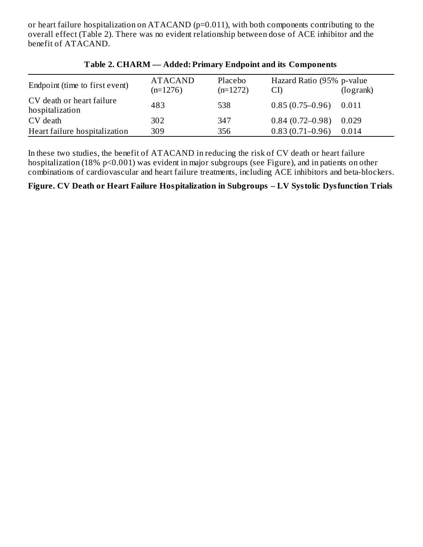or heart failure hospitalization on ATACAND (p=0.011), with both components contributing to the overall effect (Table 2). There was no evident relationship between dose of ACE inhibitor and the benefit of ATACAND.

| Endpoint (time to first event)               | <b>ATACAND</b> | Placebo    | Hazard Ratio (95% p-value |           |
|----------------------------------------------|----------------|------------|---------------------------|-----------|
|                                              | $(n=1276)$     | $(n=1272)$ | CI)                       | (logrank) |
| CV death or heart failure<br>hospitalization | 483            | 538        | $0.85(0.75-0.96)$         | 0.011     |
| CV death                                     | 302            | 347        | $0.84(0.72-0.98)$         | 0.029     |
| Heart failure hospitalization                | 309            | 356        | $0.83(0.71 - 0.96)$       | 0.014     |

#### **Table 2. CHARM — Added: Primary Endpoint and its Components**

In these two studies, the benefit of ATACAND in reducing the risk of CV death or heart failure hospitalization (18% p<0.001) was evident in major subgroups (see Figure), and in patients on other combinations of cardiovascular and heart failure treatments, including ACE inhibitors and beta-blockers.

### **Figure. CV Death or Heart Failure Hospitalization in Subgroups – LV Systolic Dysfunction Trials**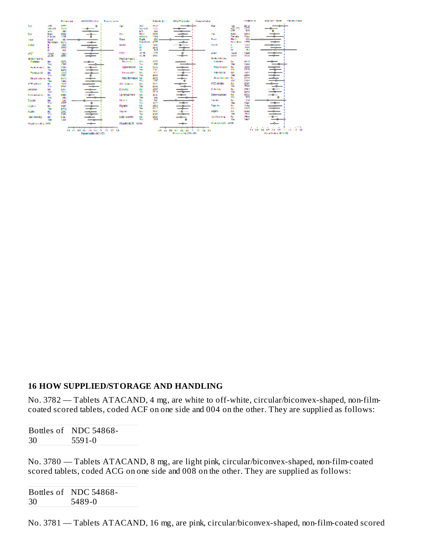#### **16 HOW SUPPLIED/STORAGE AND HANDLING**

No. 3782 — Tablets ATACAND, 4 mg, are white to off-white, circular/biconvex-shaped, non-filmcoated scored tablets, coded ACF on one side and 004 on the other. They are supplied as follows:

|    | Bottles of NDC 54868- |
|----|-----------------------|
| 30 | 5591-0                |

No. 3780 — Tablets ATACAND, 8 mg, are light pink, circular/biconvex-shaped, non-film-coated scored tablets, coded ACG on one side and 008 on the other. They are supplied as follows:

Bottles of NDC 54868- 30 5489-0

No. 3781 — Tablets ATACAND, 16 mg, are pink, circular/biconvex-shaped, non-film-coated scored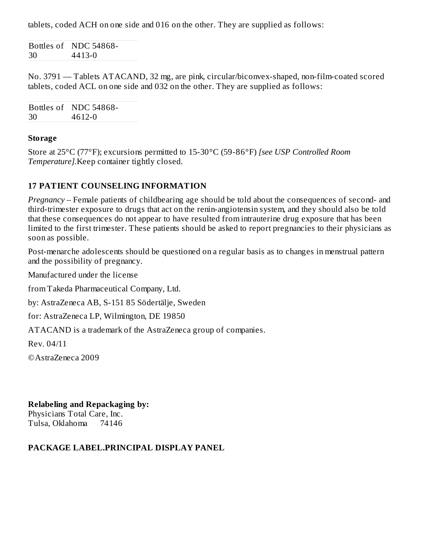tablets, coded ACH on one side and 016 on the other. They are supplied as follows:

Bottles of NDC 54868- 30 4413-0

No. 3791 — Tablets ATACAND, 32 mg, are pink, circular/biconvex-shaped, non-film-coated scored tablets, coded ACL on one side and 032 on the other. They are supplied as follows:

Bottles of NDC 54868- 30 4612-0

#### **Storage**

Store at 25°C (77°F); excursions permitted to 15-30°C (59-86°F) *[see USP Controlled Room Temperature].*Keep container tightly closed.

### **17 PATIENT COUNSELING INFORMATION**

*Pregnancy* – Female patients of childbearing age should be told about the consequences of second- and third-trimester exposure to drugs that act on the renin-angiotensin system, and they should also be told that these consequences do not appear to have resulted from intrauterine drug exposure that has been limited to the first trimester. These patients should be asked to report pregnancies to their physicians as soon as possible.

Post-menarche adolescents should be questioned on a regular basis as to changes in menstrual pattern and the possibility of pregnancy.

Manufactured under the license

from Takeda Pharmaceutical Company, Ltd.

by: AstraZeneca AB, S-151 85 Södertälje, Sweden

for: AstraZeneca LP, Wilmington, DE 19850

ATACAND is a trademark of the AstraZeneca group of companies.

Rev. 04/11

©AstraZeneca 2009

**Relabeling and Repackaging by:** Physicians Total Care, Inc. Tulsa, Oklahoma 74146

#### **PACKAGE LABEL.PRINCIPAL DISPLAY PANEL**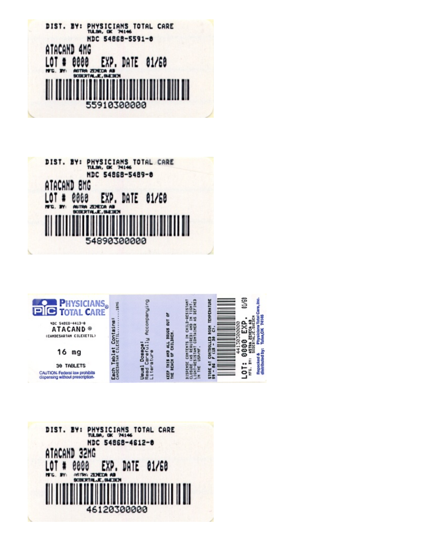





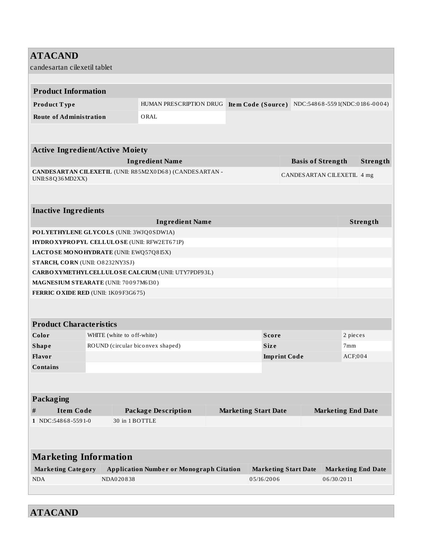# **ATACAND** candesartan cilexetil tablet **Product Information Product T ype** HUMAN PRESCRIPTION DRUG **Ite m Code (Source )** NDC:548 6 8 -559 1(NDC:0 18 6 -0 0 0 4) **Route of Administration** ORAL **Active Ingredient/Active Moiety Ingredient Name Basis of Strength Strength CANDESARTAN CILEXETIL** (UNII: R8 5M2X0D6 8 ) (CANDESARTAN - UNII:S8Q36MD2XX) CANDESARTAN CILEXETIL 4 mg **Inactive Ingredients Ingredient Name Strength POLYETHYLENE GLYCOLS** (UNII: 3WJQ0 SDW1A) **HYDROXYPROPYL CELLULOSE** (UNII: RFW2ET6 71P) **LACTOSE MONOHYDRATE** (UNII: EWQ57Q8 I5X) **STARCH, CORN** (UNII: O8 232NY3SJ) **CARBOXYMETHYLCELLULOSE CALCIUM** (UNII: UTY7PDF9 3L) **MAGNESIUM STEARATE** (UNII: 70 0 9 7M6 I30 ) **FERRIC OXIDE RED** (UNII: 1K0 9 F3G6 75) **Product Characteristics Color WHITE** (white to off-white) **Score 2** pieces **Shape** ROUND (circular biconvex shaped) **Size Size** 7mm **Flavor Imprint Code** ACF;0 0 4 **Contains Packaging # Item Code Package Description Marketing Start Date Marketing End Date 1** NDC:548 6 8 -559 1-0 30 in 1 BOTTLE **Marketing Information Marke ting Category Application Numbe r or Monograph Citation Marke ting Start Date Marke ting End Date** NDA NDA0 20 8 38 0 5/16 /20 0 6 0 6 /30 /20 11

**ATACAND**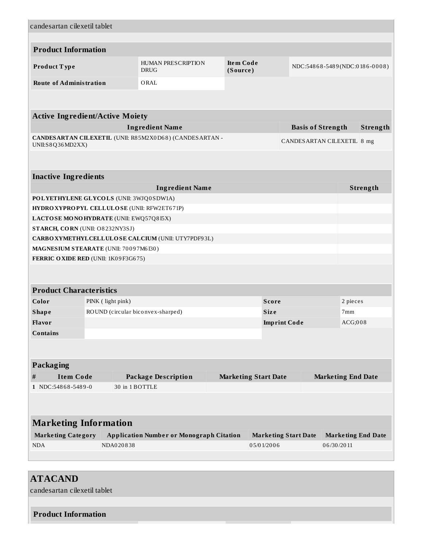| candesartan cilexetil tablet               |                                               |                                                         |  |                              |                     |                             |                               |          |
|--------------------------------------------|-----------------------------------------------|---------------------------------------------------------|--|------------------------------|---------------------|-----------------------------|-------------------------------|----------|
|                                            |                                               |                                                         |  |                              |                     |                             |                               |          |
| <b>Product Information</b>                 |                                               |                                                         |  |                              |                     |                             |                               |          |
| Product Type                               |                                               | <b>HUMAN PRESCRIPTION</b><br><b>DRUG</b>                |  | <b>Item Code</b><br>(Source) |                     |                             | NDC:54868-5489(NDC:0186-0008) |          |
| <b>Route of Administration</b>             |                                               | ORAL                                                    |  |                              |                     |                             |                               |          |
|                                            |                                               |                                                         |  |                              |                     |                             |                               |          |
| <b>Active Ingredient/Active Moiety</b>     |                                               |                                                         |  |                              |                     |                             |                               |          |
|                                            |                                               | <b>Ingredient Name</b>                                  |  |                              |                     | <b>Basis of Strength</b>    |                               | Strength |
| UNII:S8Q36MD2XX)                           |                                               | CANDESARTAN CILEXETIL (UNII: R85M2X0D68) (CANDESARTAN - |  |                              |                     |                             | CANDESARTAN CILEXETIL 8 mg    |          |
|                                            |                                               |                                                         |  |                              |                     |                             |                               |          |
| <b>Inactive Ingredients</b>                |                                               |                                                         |  |                              |                     |                             |                               |          |
|                                            |                                               | <b>Ingredient Name</b>                                  |  |                              |                     |                             |                               | Strength |
| POLYETHYLENE GLYCOLS (UNII: 3WJQ0SDW1A)    |                                               |                                                         |  |                              |                     |                             |                               |          |
| HYDROXYPROPYL CELLULOSE (UNII: RFW2ET671P) |                                               |                                                         |  |                              |                     |                             |                               |          |
| LACTOSE MONOHYDRATE (UNII: EWQ57Q8I5X)     |                                               |                                                         |  |                              |                     |                             |                               |          |
| STARCH, CORN (UNII: O8232NY3SJ)            |                                               |                                                         |  |                              |                     |                             |                               |          |
|                                            |                                               | CARBOXYMETHYLCELLULOSE CALCIUM (UNII: UTY7PDF93L)       |  |                              |                     |                             |                               |          |
| MAGNESIUM STEARATE (UNII: 70097M6I30)      |                                               |                                                         |  |                              |                     |                             |                               |          |
| FERRIC OXIDE RED (UNII: 1K09F3G675)        |                                               |                                                         |  |                              |                     |                             |                               |          |
|                                            |                                               |                                                         |  |                              |                     |                             |                               |          |
| <b>Product Characteristics</b>             |                                               |                                                         |  |                              |                     |                             |                               |          |
| Color                                      | PINK (light pink)<br><b>Score</b><br>2 pieces |                                                         |  |                              |                     |                             |                               |          |
| <b>Shape</b>                               | ROUND (circular biconvex-sharped)             |                                                         |  |                              | <b>Size</b>         |                             | 7 <sub>mm</sub>               |          |
| <b>Flavor</b>                              |                                               |                                                         |  |                              | <b>Imprint Code</b> |                             | ACG;008                       |          |
| <b>Contains</b>                            |                                               |                                                         |  |                              |                     |                             |                               |          |
|                                            |                                               |                                                         |  |                              |                     |                             |                               |          |
| Packaging                                  |                                               |                                                         |  |                              |                     |                             |                               |          |
| <b>Item Code</b><br>#                      |                                               | <b>Package Description</b>                              |  | <b>Marketing Start Date</b>  |                     |                             | <b>Marketing End Date</b>     |          |
| 1 NDC:54868-5489-0                         | 30 in 1 BOTTLE                                |                                                         |  |                              |                     |                             |                               |          |
|                                            |                                               |                                                         |  |                              |                     |                             |                               |          |
|                                            |                                               |                                                         |  |                              |                     |                             |                               |          |
| <b>Marketing Information</b>               |                                               |                                                         |  |                              |                     |                             |                               |          |
| <b>Marketing Category</b>                  |                                               | <b>Application Number or Monograph Citation</b>         |  |                              |                     | <b>Marketing Start Date</b> | <b>Marketing End Date</b>     |          |
| <b>NDA</b>                                 | NDA020838                                     |                                                         |  |                              | 05/01/2006          |                             | 06/30/2011                    |          |
|                                            |                                               |                                                         |  |                              |                     |                             |                               |          |
|                                            |                                               |                                                         |  |                              |                     |                             |                               |          |

# **ATACAND** candesartan cilexetil tablet **Product Information**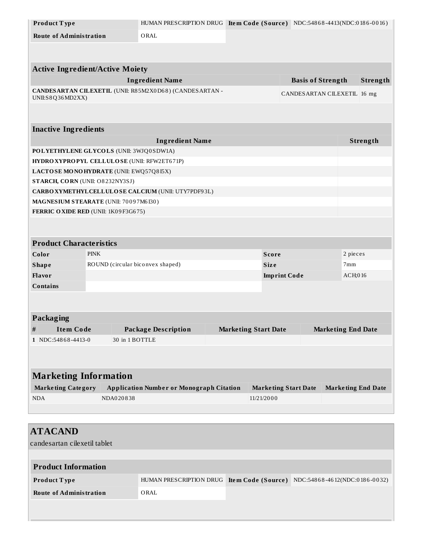| Product Type                            |             | HUMAN PRESCRIPTION DRUG Item Code (Source) NDC:54868-4413(NDC:0186-0016) |                             |                             |                           |                             |          |
|-----------------------------------------|-------------|--------------------------------------------------------------------------|-----------------------------|-----------------------------|---------------------------|-----------------------------|----------|
| <b>Route of Administration</b>          |             | ORAL                                                                     |                             |                             |                           |                             |          |
|                                         |             |                                                                          |                             |                             |                           |                             |          |
|                                         |             |                                                                          |                             |                             |                           |                             |          |
| <b>Active Ingredient/Active Moiety</b>  |             |                                                                          |                             |                             |                           |                             |          |
|                                         |             | <b>Ingredient Name</b>                                                   |                             |                             | <b>Basis of Strength</b>  |                             | Strength |
| UNII:S8Q36MD2XX)                        |             | CANDESARTAN CILEXETIL (UNII: R85M2X0D68) (CANDESARTAN -                  |                             |                             |                           | CANDESARTAN CILEXETIL 16 mg |          |
|                                         |             |                                                                          |                             |                             |                           |                             |          |
|                                         |             |                                                                          |                             |                             |                           |                             |          |
| <b>Inactive Ingredients</b>             |             |                                                                          |                             |                             |                           |                             |          |
|                                         |             | <b>Ingredient Name</b>                                                   |                             |                             |                           |                             | Strength |
| POLYETHYLENE GLYCOLS (UNII: 3WJQ0SDW1A) |             |                                                                          |                             |                             |                           |                             |          |
|                                         |             | HYDROXYPROPYL CELLULOSE (UNII: RFW2ET671P)                               |                             |                             |                           |                             |          |
| LACTOSE MONOHYDRATE (UNII: EWQ57Q8I5X)  |             |                                                                          |                             |                             |                           |                             |          |
| STARCH, CORN (UNII: O8232NY3SJ)         |             |                                                                          |                             |                             |                           |                             |          |
|                                         |             | CARBOXYMETHYLCELLULOSE CALCIUM (UNII: UTY7PDF93L)                        |                             |                             |                           |                             |          |
| MAGNESIUM STEARATE (UNII: 70097M6I30)   |             |                                                                          |                             |                             |                           |                             |          |
| FERRIC OXIDE RED (UNII: 1K09F3G675)     |             |                                                                          |                             |                             |                           |                             |          |
|                                         |             |                                                                          |                             |                             |                           |                             |          |
|                                         |             |                                                                          |                             |                             |                           |                             |          |
| <b>Product Characteristics</b>          |             |                                                                          |                             |                             |                           |                             |          |
| Color                                   | <b>PINK</b> |                                                                          |                             | <b>Score</b>                |                           |                             | 2 pieces |
| <b>Shape</b>                            |             | ROUND (circular biconvex shaped)                                         |                             | <b>Size</b>                 |                           | 7mm                         |          |
| Flavor                                  |             |                                                                          |                             |                             |                           | ACH;016                     |          |
| <b>Contains</b>                         |             |                                                                          |                             |                             |                           |                             |          |
|                                         |             |                                                                          |                             |                             |                           |                             |          |
|                                         |             |                                                                          |                             |                             |                           |                             |          |
| Packaging                               |             |                                                                          |                             |                             |                           |                             |          |
| $\#$<br><b>Item Code</b>                |             | <b>Package Description</b>                                               |                             | <b>Marketing Start Date</b> |                           | <b>Marketing End Date</b>   |          |
| 1 NDC:54868-4413-0                      |             | 30 in 1 BOTTLE                                                           |                             |                             |                           |                             |          |
|                                         |             |                                                                          |                             |                             |                           |                             |          |
|                                         |             |                                                                          |                             |                             |                           |                             |          |
|                                         |             |                                                                          |                             |                             |                           |                             |          |
| <b>Marketing Information</b>            |             |                                                                          |                             |                             |                           |                             |          |
| <b>Marketing Category</b>               |             | <b>Application Number or Monograph Citation</b>                          | <b>Marketing Start Date</b> |                             | <b>Marketing End Date</b> |                             |          |
| <b>NDA</b>                              | NDA020838   |                                                                          |                             | 11/21/2000                  |                           |                             |          |
|                                         |             |                                                                          |                             |                             |                           |                             |          |
|                                         |             |                                                                          |                             |                             |                           |                             |          |
| <b>ATACAND</b>                          |             |                                                                          |                             |                             |                           |                             |          |
| candesartan cilexetil tablet            |             |                                                                          |                             |                             |                           |                             |          |

| <b>Product Information</b>     |      |                                                                          |
|--------------------------------|------|--------------------------------------------------------------------------|
| <b>Product Type</b>            |      | HUMAN PRESCRIPTION DRUG Item Code (Source) NDC:54868-4612(NDC:0186-0032) |
| <b>Route of Administration</b> | ORAL |                                                                          |